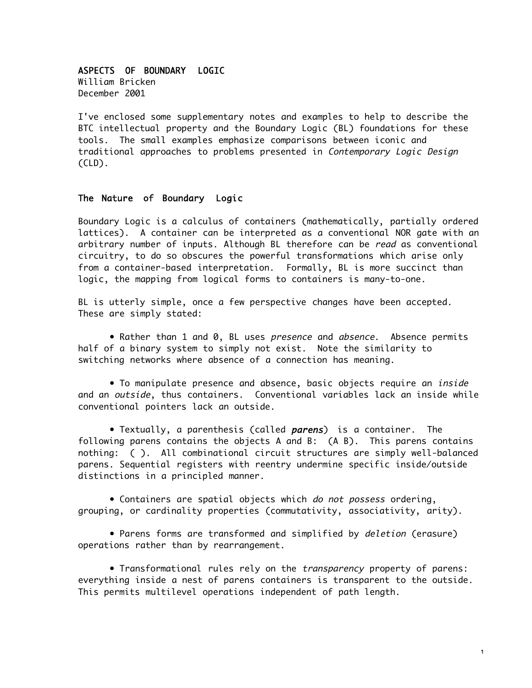## ASPECTS OF BOUNDARY LOGIC

William Bricken December 2001

I've enclosed some supplementary notes and examples to help to describe the BTC intellectual property and the Boundary Logic (BL) foundations for these tools. The small examples emphasize comparisons between iconic and traditional approaches to problems presented in Contemporary Logic Design (CLD).

## The Nature of Boundary Logic

Boundary Logic is a calculus of containers (mathematically, partially ordered lattices). A container can be interpreted as a conventional NOR gate with an arbitrary number of inputs. Although BL therefore can be read as conventional circuitry, to do so obscures the powerful transformations which arise only from a container-based interpretation. Formally, BL is more succinct than logic, the mapping from logical forms to containers is many-to-one.

BL is utterly simple, once a few perspective changes have been accepted. These are simply stated:

• Rather than 1 and 0, BL uses presence and absence. Absence permits half of a binary system to simply not exist. Note the similarity to switching networks where absence of a connection has meaning.

• To manipulate presence and absence, basic objects require an *inside* and an outside, thus containers. Conventional variables lack an inside while conventional pointers lack an outside.

• Textually, a parenthesis (called parens) is a container. The following parens contains the objects A and B: (A B). This parens contains nothing: ( ). All combinational circuit structures are simply well-balanced parens. Sequential registers with reentry undermine specific inside/outside distinctions in a principled manner.

• Containers are spatial objects which do not possess ordering, grouping, or cardinality properties (commutativity, associativity, arity).

• Parens forms are transformed and simplified by deletion (erasure) operations rather than by rearrangement.

• Transformational rules rely on the transparency property of parens: everything inside a nest of parens containers is transparent to the outside. This permits multilevel operations independent of path length.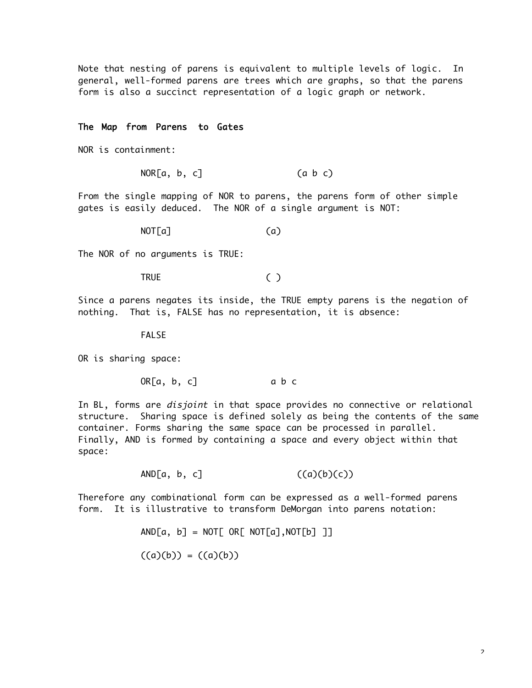Note that nesting of parens is equivalent to multiple levels of logic. In general, well-formed parens are trees which are graphs, so that the parens form is also a succinct representation of a logic graph or network.

#### The Map from Parens to Gates

NOR is containment:

 $NOR[a, b, c]$  (a b c)

From the single mapping of NOR to parens, the parens form of other simple gates is easily deduced. The NOR of a single argument is NOT:

 $NOT[a]$  (a)

The NOR of no arguments is TRUE:

TRUE ( )

Since a parens negates its inside, the TRUE empty parens is the negation of nothing. That is, FALSE has no representation, it is absence:

FALSE

OR is sharing space:

 $OR[a, b, c]$  a b c

In BL, forms are *disjoint* in that space provides no connective or relational structure. Sharing space is defined solely as being the contents of the same container. Forms sharing the same space can be processed in parallel. Finally, AND is formed by containing a space and every object within that space:

 $AND[a, b, c]$  ((a)(b)(c))

Therefore any combinational form can be expressed as a well-formed parens form. It is illustrative to transform DeMorgan into parens notation:

 $AND[a, b] = NOT[OR[NOT[a], NOT[b]$ 

$$
((a)(b)) = ((a)(b))
$$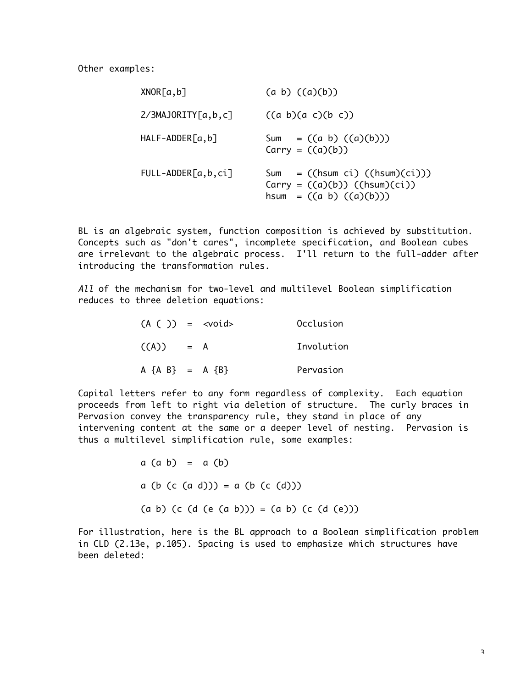| XNOR[a,b]                  | $(a \ b) ((a)(b))$                                                                                          |
|----------------------------|-------------------------------------------------------------------------------------------------------------|
| $2/3$ MAJORITY $[a, b, c]$ | $((a\ b)(a\ c)(b\ c))$                                                                                      |
| $HALF-ADDER[a,b]$          | Sum = $((a \ b) ((a)(b)))$<br>$Carry = ((a)(b))$                                                            |
| $FULL-ADDER[a,b,ci]$       | Sum = $(\text{hsum ci}) (\text{hsum})(ci))$<br>$Carry = ((a)(b)) ((hsum)(ci))$<br>hsum = $((a b) ((a)(b)))$ |

BL is an algebraic system, function composition is achieved by substitution. Concepts such as "don't cares", incomplete specification, and Boolean cubes are irrelevant to the algebraic process. I'll return to the full-adder after introducing the transformation rules.

All of the mechanism for two-level and multilevel Boolean simplification reduces to three deletion equations:

| $(A ( )) = <$ void>     |       | Occlusion  |
|-------------------------|-------|------------|
| ((A))                   | $= A$ | Involution |
| $A \{A \ B\} = A \{B\}$ |       | Pervasion  |

Capital letters refer to any form regardless of complexity. Each equation proceeds from left to right via deletion of structure. The curly braces in Pervasion convey the transparency rule, they stand in place of any intervening content at the same or a deeper level of nesting. Pervasion is thus a multilevel simplification rule, some examples:

> $a$   $(a b) = a (b)$  $a (b (c (a d))) = a (b (c (d)))$  $(a \ b)$  (c (d (e  $(a \ b))$ ) =  $(a \ b)$  (c  $(d (e)))$

For illustration, here is the BL approach to a Boolean simplification problem in CLD (2.13e, p.105). Spacing is used to emphasize which structures have been deleted: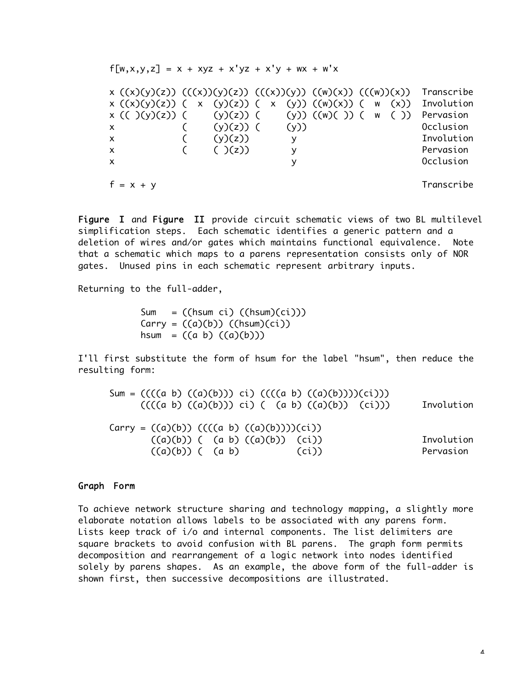| $f[w, x, y, z] = x + xyz + x'yz + x'y + wx + w'x$                                                                                                                                                                                        |                                          |             |  |                                                                                            |
|------------------------------------------------------------------------------------------------------------------------------------------------------------------------------------------------------------------------------------------|------------------------------------------|-------------|--|--------------------------------------------------------------------------------------------|
| x ((x)(y)(z)) (((x))(y)(z)) (((x))(y)) ((w)(x)) (((w))(x))<br>$x ((x)(y)(z)) (x (y)(z)) (x (y)) ((w)(x)) (w (x))$<br>$x (( ) (y)(z)) ( (y)(z)) ( (y)) ((w)( )) ( w ( ))$<br>$\mathsf{X}$<br>$\mathsf{X}$<br>$\mathsf{x}$<br>$\mathsf{x}$ | $(y)(z))$ ( (y))<br>(y)(z)<br>$(\ )(z))$ | У<br>У<br>v |  | Transcribe<br>Involution<br>Pervasion<br>Occlusion<br>Involution<br>Pervasion<br>Occlusion |
| $f = x + y$                                                                                                                                                                                                                              |                                          |             |  | Transcribe                                                                                 |

Figure I and Figure II provide circuit schematic views of two BL multilevel simplification steps. Each schematic identifies a generic pattern and a deletion of wires and/or gates which maintains functional equivalence. Note that a schematic which maps to a parens representation consists only of NOR gates. Unused pins in each schematic represent arbitrary inputs.

Returning to the full-adder,

Sum =  $(\text{hsum ci}) (\text{hsum})(ci))$  $Carry = ((a)(b)) ((hsum)(ci))$ hsum =  $((a \ b) ((a)(b)))$ 

I'll first substitute the form of hsum for the label "hsum", then reduce the resulting form:

| Sum = $(((a\ b)\ ((a)(b)))$ ci) $(((a\ b)\ ((a)(b))))(ci)))$<br>$(((a\ b)\ ((a)(b)))\ c1)$ ( $(a\ b)\ ((a)(b))\ (c1)))$ | Involution |
|-------------------------------------------------------------------------------------------------------------------------|------------|
| Carry = $((a)(b))$ $(((a b) ((a)(b)))(ci))$                                                                             |            |
| $((a)(b))$ ( $(a b) ((a)(b))$ (ci))                                                                                     | Involution |
| $((a)(b))$ $(a b)$<br>(ci))                                                                                             | Pervasion  |

## Graph Form

To achieve network structure sharing and technology mapping, a slightly more elaborate notation allows labels to be associated with any parens form. Lists keep track of i/o and internal components. The list delimiters are square brackets to avoid confusion with BL parens. The graph form permits decomposition and rearrangement of a logic network into nodes identified solely by parens shapes. As an example, the above form of the full-adder is shown first, then successive decompositions are illustrated.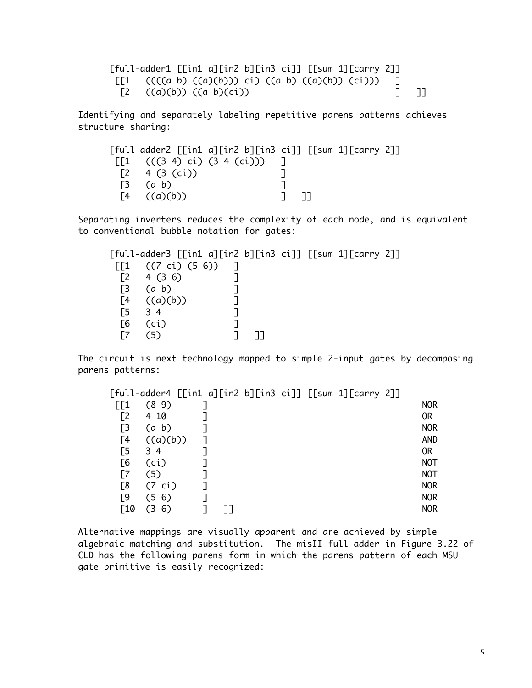| [full-adder1 [[in1 a][in2 b][in3 ci]] [[sum 1][carry 2]]                     |  |  |  |  |  |
|------------------------------------------------------------------------------|--|--|--|--|--|
| $\lceil [1 \quad (((a \ b) \ ((a)(b))) \ ci) \ ((a \ b) \ ((a)(b)) \ (ci)))$ |  |  |  |  |  |
| [2 $((a)(b))$ $((a b)(ci))$                                                  |  |  |  |  |  |

Identifying and separately labeling repetitive parens patterns achieves structure sharing:

|                                                    | $[full-adder2$ $[$ [in1 a][in2 b][in3 ci]] $[$ [sum 1][carry 2]] |  |  |
|----------------------------------------------------|------------------------------------------------------------------|--|--|
| $\lceil 1 \rceil$ (((3 4) ci) (3 4 (ci)))          |                                                                  |  |  |
| $\begin{bmatrix} 2 & 4 & (3 & (ci)) \end{bmatrix}$ |                                                                  |  |  |
| $\begin{bmatrix} 3 & 6 \end{bmatrix}$              |                                                                  |  |  |
| $\begin{bmatrix}4 & (a)(b)\end{bmatrix}$           |                                                                  |  |  |

Separating inverters reduces the complexity of each node, and is equivalent to conventional bubble notation for gates:

|     | $[full-adder3 [[in1 a][in2 b][in3 ci]] [sum 1][carry 2]]$ |  |  |  |
|-----|-----------------------------------------------------------|--|--|--|
| ГГ1 | $((7 \text{ ci}) (5 \text{ 6}))$                          |  |  |  |
|     | 4(36)                                                     |  |  |  |
| ΓЗ  | $(a\;b)$                                                  |  |  |  |
| Г4  | ((a)(b))                                                  |  |  |  |
| Г5  | $\overline{3}$ 4                                          |  |  |  |
| Г6  | (ci)                                                      |  |  |  |
|     |                                                           |  |  |  |

The circuit is next technology mapped to simple 2-input gates by decomposing parens patterns:

| ГГ1 | (89)              |  |  |  | <b>NOR</b>     |
|-----|-------------------|--|--|--|----------------|
| ٢2  | 4 10              |  |  |  | 0 <sub>R</sub> |
| Г3  | $(a\ b)$          |  |  |  | <b>NOR</b>     |
| Г4  | ((a)(b))          |  |  |  | <b>AND</b>     |
| Г5  | 34                |  |  |  | 0R             |
| Г6  | (c <sub>i</sub> ) |  |  |  | NOT            |
|     | (5)               |  |  |  | NOT            |
| Г8  | (7 ci)            |  |  |  | <b>NOR</b>     |
| Г9  | 6)<br>(5          |  |  |  | <b>NOR</b>     |
| -10 | 6)                |  |  |  | <b>NOR</b>     |

Alternative mappings are visually apparent and are achieved by simple algebraic matching and substitution. The misII full-adder in Figure 3.22 of CLD has the following parens form in which the parens pattern of each MSU gate primitive is easily recognized: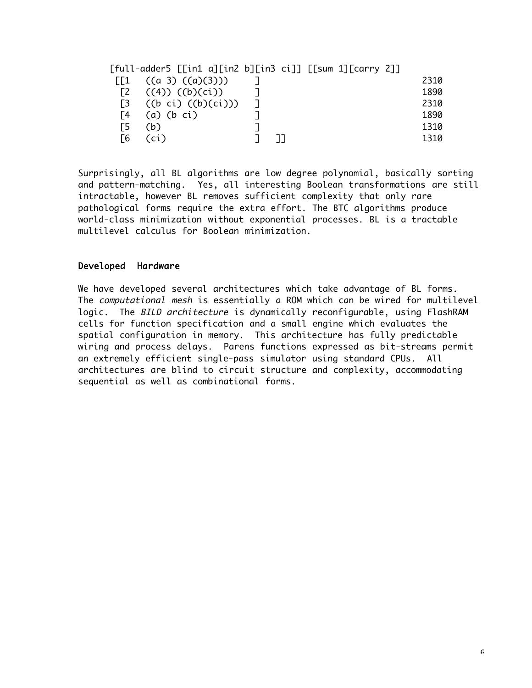|    | ((a 3) ((a)(3)))       |  |  | 2310 |
|----|------------------------|--|--|------|
|    | $((4))$ $((b)(ci))$    |  |  | 1890 |
|    | $((b\;ci)\;((b)(ci)))$ |  |  | 2310 |
| Г4 | $(a)$ $(b$ $ci)$       |  |  | 1890 |
|    | (b)                    |  |  | 1310 |
| Г6 | ์ci )                  |  |  | 1310 |

Surprisingly, all BL algorithms are low degree polynomial, basically sorting and pattern-matching. Yes, all interesting Boolean transformations are still intractable, however BL removes sufficient complexity that only rare pathological forms require the extra effort. The BTC algorithms produce world-class minimization without exponential processes. BL is a tractable multilevel calculus for Boolean minimization.

# Developed Hardware

We have developed several architectures which take advantage of BL forms. The computational mesh is essentially a ROM which can be wired for multilevel logic. The BILD architecture is dynamically reconfigurable, using FlashRAM cells for function specification and a small engine which evaluates the spatial configuration in memory. This architecture has fully predictable wiring and process delays. Parens functions expressed as bit-streams permit an extremely efficient single-pass simulator using standard CPUs. All architectures are blind to circuit structure and complexity, accommodating sequential as well as combinational forms.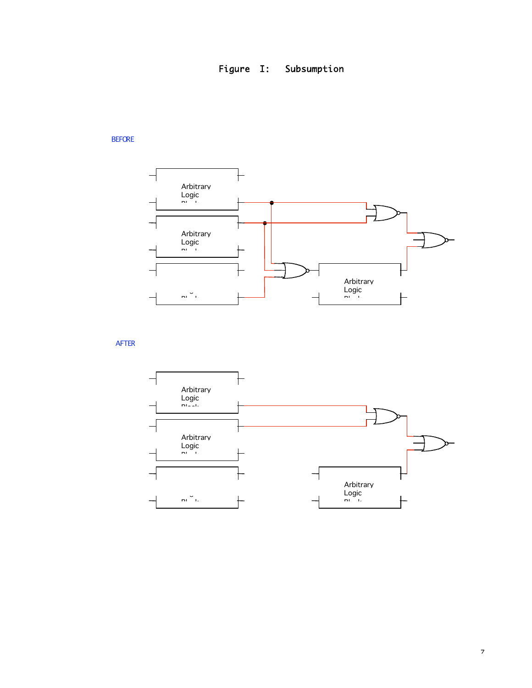

# BEFORE



AFTER